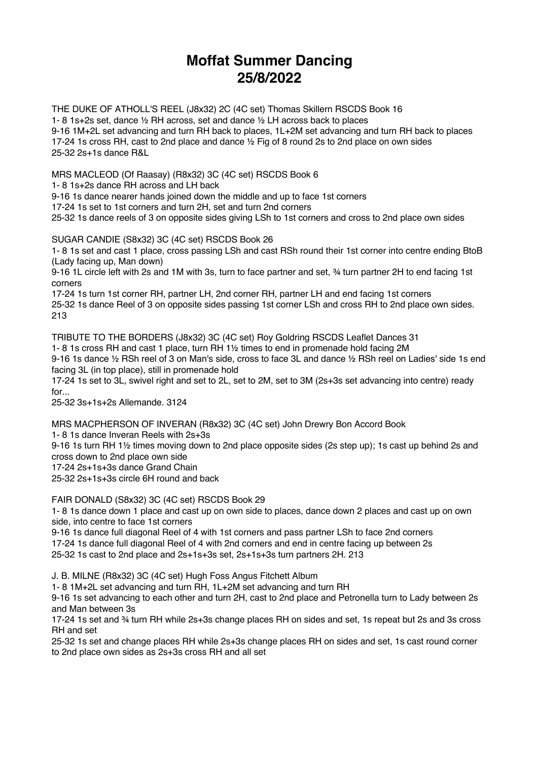## **Moffat Summer Dancing 25/8/2022**

THE DUKE OF ATHOLL'S REEL (J8x32) 2C (4C set) Thomas Skillern RSCDS Book 16 1- 8 1s+2s set, dance ½ RH across, set and dance ½ LH across back to places 9-16 1M+2L set advancing and turn RH back to places, 1L+2M set advancing and turn RH back to places 17-24 1s cross RH, cast to 2nd place and dance ½ Fig of 8 round 2s to 2nd place on own sides 25-32 2s+1s dance R&L

MRS MACLEOD (Of Raasay) (R8x32) 3C (4C set) RSCDS Book 6

1- 8 1s+2s dance RH across and LH back

9-16 1s dance nearer hands joined down the middle and up to face 1st corners

17-24 1s set to 1st corners and turn 2H, set and turn 2nd corners

25-32 1s dance reels of 3 on opposite sides giving LSh to 1st corners and cross to 2nd place own sides

SUGAR CANDIE (S8x32) 3C (4C set) RSCDS Book 26

1- 8 1s set and cast 1 place, cross passing LSh and cast RSh round their 1st corner into centre ending BtoB (Lady facing up, Man down)

9-16 1L circle left with 2s and 1M with 3s, turn to face partner and set, ¾ turn partner 2H to end facing 1st corners

17-24 1s turn 1st corner RH, partner LH, 2nd corner RH, partner LH and end facing 1st corners 25-32 1s dance Reel of 3 on opposite sides passing 1st corner LSh and cross RH to 2nd place own sides. 213

TRIBUTE TO THE BORDERS (J8x32) 3C (4C set) Roy Goldring RSCDS Leaflet Dances 31 1- 8 1s cross RH and cast 1 place, turn RH 1½ times to end in promenade hold facing 2M

9-16 1s dance ½ RSh reel of 3 on Man's side, cross to face 3L and dance ½ RSh reel on Ladies' side 1s end facing 3L (in top place), still in promenade hold

17-24 1s set to 3L, swivel right and set to 2L, set to 2M, set to 3M (2s+3s set advancing into centre) ready for...

25-32 3s+1s+2s Allemande. 3124

MRS MACPHERSON OF INVERAN (R8x32) 3C (4C set) John Drewry Bon Accord Book

1- 8 1s dance Inveran Reels with 2s+3s

9-16 1s turn RH 1½ times moving down to 2nd place opposite sides (2s step up); 1s cast up behind 2s and cross down to 2nd place own side

17-24 2s+1s+3s dance Grand Chain

25-32 2s+1s+3s circle 6H round and back

FAIR DONALD (S8x32) 3C (4C set) RSCDS Book 29

1- 8 1s dance down 1 place and cast up on own side to places, dance down 2 places and cast up on own side, into centre to face 1st corners

9-16 1s dance full diagonal Reel of 4 with 1st corners and pass partner LSh to face 2nd corners 17-24 1s dance full diagonal Reel of 4 with 2nd corners and end in centre facing up between 2s 25-32 1s cast to 2nd place and 2s+1s+3s set, 2s+1s+3s turn partners 2H. 213

J. B. MILNE (R8x32) 3C (4C set) Hugh Foss Angus Fitchett Album

1- 8 1M+2L set advancing and turn RH, 1L+2M set advancing and turn RH

9-16 1s set advancing to each other and turn 2H, cast to 2nd place and Petronella turn to Lady between 2s and Man between 3s

17-24 1s set and ¾ turn RH while 2s+3s change places RH on sides and set, 1s repeat but 2s and 3s cross RH and set

25-32 1s set and change places RH while 2s+3s change places RH on sides and set, 1s cast round corner to 2nd place own sides as 2s+3s cross RH and all set